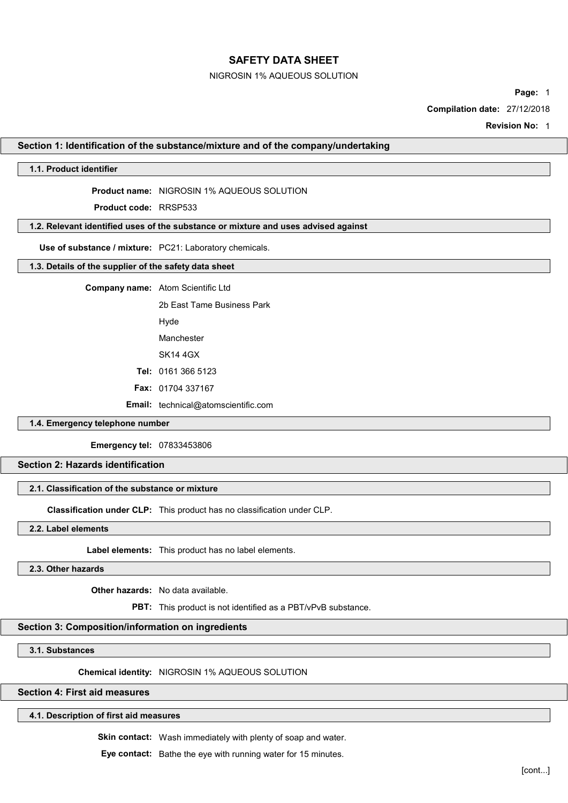### NIGROSIN 1% AQUEOUS SOLUTION

Page: 1

Compilation date: 27/12/2018

Revision No: 1

### Section 1: Identification of the substance/mixture and of the company/undertaking

## 1.1. Product identifier

Product name: NIGROSIN 1% AQUEOUS SOLUTION

Product code: RRSP533

## 1.2. Relevant identified uses of the substance or mixture and uses advised against

Use of substance / mixture: PC21: Laboratory chemicals.

### 1.3. Details of the supplier of the safety data sheet

Company name: Atom Scientific Ltd

2b East Tame Business Park

Hyde

Manchester

SK14 4GX

Tel: 0161 366 5123

Fax: 01704 337167

Email: technical@atomscientific.com

## 1.4. Emergency telephone number

Emergency tel: 07833453806

## Section 2: Hazards identification

# 2.1. Classification of the substance or mixture

Classification under CLP: This product has no classification under CLP.

2.2. Label elements

Label elements: This product has no label elements.

2.3. Other hazards

Other hazards: No data available.

PBT: This product is not identified as a PBT/vPvB substance.

## Section 3: Composition/information on ingredients

3.1. Substances

Chemical identity: NIGROSIN 1% AQUEOUS SOLUTION

# Section 4: First aid measures

## 4.1. Description of first aid measures

Skin contact: Wash immediately with plenty of soap and water.

Eye contact: Bathe the eye with running water for 15 minutes.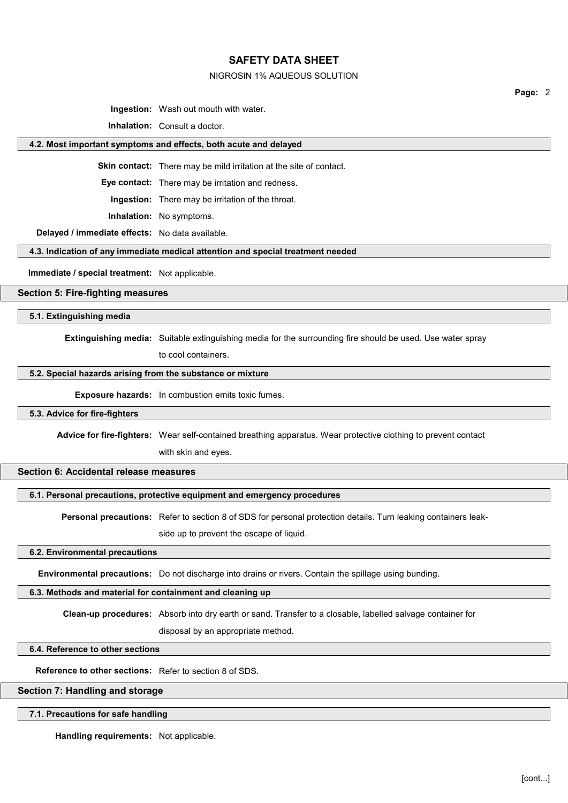#### NIGROSIN 1% AQUEOUS SOLUTION

Page: 2

Ingestion: Wash out mouth with water.

Inhalation: Consult a doctor.

#### 4.2. Most important symptoms and effects, both acute and delayed

Skin contact: There may be mild irritation at the site of contact.

Eye contact: There may be irritation and redness.

Ingestion: There may be irritation of the throat.

Inhalation: No symptoms.

Delayed / immediate effects: No data available.

### 4.3. Indication of any immediate medical attention and special treatment needed

Immediate / special treatment: Not applicable.

### Section 5: Fire-fighting measures

5.1. Extinguishing media

Extinguishing media: Suitable extinguishing media for the surrounding fire should be used. Use water spray

to cool containers.

### 5.2. Special hazards arising from the substance or mixture

Exposure hazards: In combustion emits toxic fumes.

### 5.3. Advice for fire-fighters

Advice for fire-fighters: Wear self-contained breathing apparatus. Wear protective clothing to prevent contact

with skin and eyes.

## Section 6: Accidental release measures

## 6.1. Personal precautions, protective equipment and emergency procedures

Personal precautions: Refer to section 8 of SDS for personal protection details. Turn leaking containers leak-

side up to prevent the escape of liquid.

## 6.2. Environmental precautions

Environmental precautions: Do not discharge into drains or rivers. Contain the spillage using bunding.

## 6.3. Methods and material for containment and cleaning up

Clean-up procedures: Absorb into dry earth or sand. Transfer to a closable, labelled salvage container for

disposal by an appropriate method.

#### 6.4. Reference to other sections

Reference to other sections: Refer to section 8 of SDS.

### Section 7: Handling and storage

#### 7.1. Precautions for safe handling

Handling requirements: Not applicable.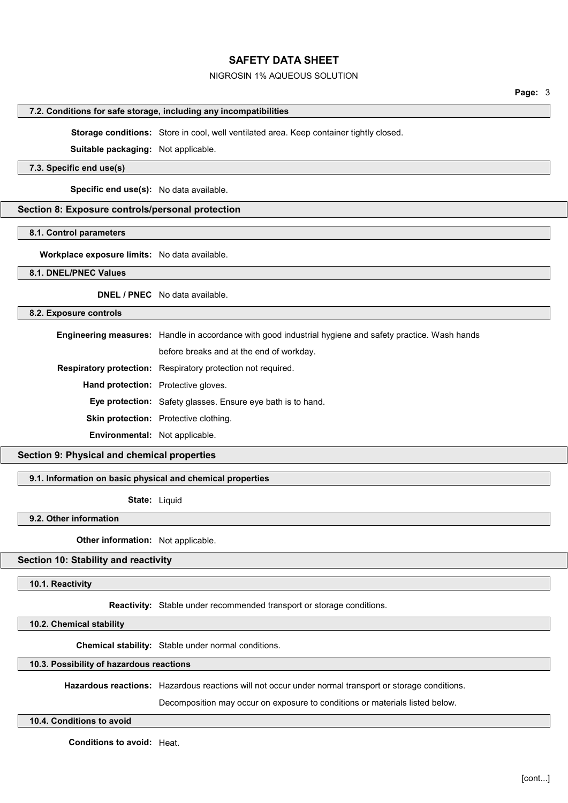## NIGROSIN 1% AQUEOUS SOLUTION

### Page: 3

#### 7.2. Conditions for safe storage, including any incompatibilities

Storage conditions: Store in cool, well ventilated area. Keep container tightly closed.

Suitable packaging: Not applicable.

### 7.3. Specific end use(s)

Specific end use(s): No data available.

### Section 8: Exposure controls/personal protection

#### 8.1. Control parameters

Workplace exposure limits: No data available.

### 8.1. DNEL/PNEC Values

DNEL / PNEC No data available.

#### 8.2. Exposure controls

Engineering measures: Handle in accordance with good industrial hygiene and safety practice. Wash hands

before breaks and at the end of workday.

Respiratory protection: Respiratory protection not required.

Hand protection: Protective gloves.

Eye protection: Safety glasses. Ensure eye bath is to hand.

Skin protection: Protective clothing.

Environmental: Not applicable.

## Section 9: Physical and chemical properties

#### 9.1. Information on basic physical and chemical properties

State: Liquid

### 9.2. Other information

**Other information:** Not applicable.

## Section 10: Stability and reactivity

10.1. Reactivity

Reactivity: Stable under recommended transport or storage conditions.

## 10.2. Chemical stability

Chemical stability: Stable under normal conditions.

### 10.3. Possibility of hazardous reactions

Hazardous reactions: Hazardous reactions will not occur under normal transport or storage conditions.

Decomposition may occur on exposure to conditions or materials listed below.

## 10.4. Conditions to avoid

Conditions to avoid: Heat.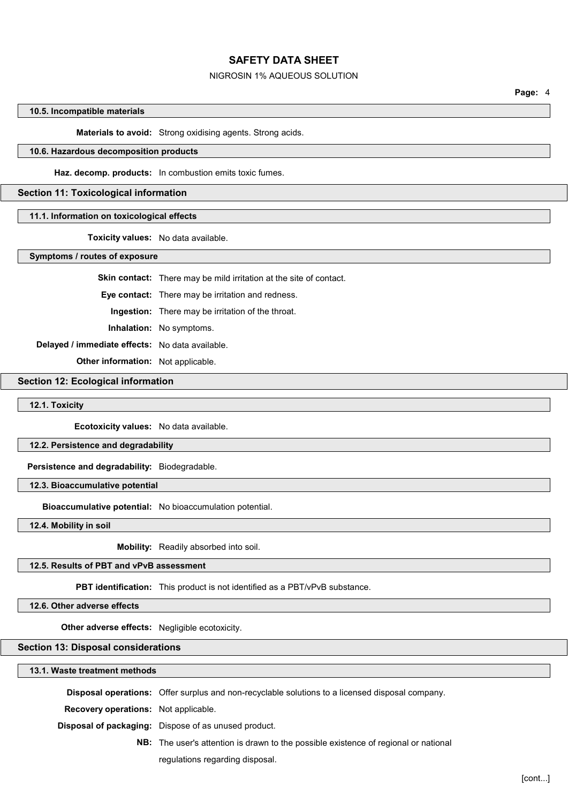## NIGROSIN 1% AQUEOUS SOLUTION

Page: 4

### 10.5. Incompatible materials

Materials to avoid: Strong oxidising agents. Strong acids.

## 10.6. Hazardous decomposition products

Haz. decomp. products: In combustion emits toxic fumes.

## Section 11: Toxicological information

### 11.1. Information on toxicological effects

Toxicity values: No data available.

Symptoms / routes of exposure

Skin contact: There may be mild irritation at the site of contact.

Eye contact: There may be irritation and redness.

Ingestion: There may be irritation of the throat.

Inhalation: No symptoms.

Delayed / immediate effects: No data available.

**Other information:** Not applicable.

## Section 12: Ecological information

## 12.1. Toxicity

Ecotoxicity values: No data available.

### 12.2. Persistence and degradability

Persistence and degradability: Biodegradable.

12.3. Bioaccumulative potential

Bioaccumulative potential: No bioaccumulation potential.

12.4. Mobility in soil

Mobility: Readily absorbed into soil.

## 12.5. Results of PBT and vPvB assessment

PBT identification: This product is not identified as a PBT/vPvB substance.

12.6. Other adverse effects

Other adverse effects: Negligible ecotoxicity.

### Section 13: Disposal considerations

13.1. Waste treatment methods

Disposal operations: Offer surplus and non-recyclable solutions to a licensed disposal company.

Recovery operations: Not applicable.

Disposal of packaging: Dispose of as unused product.

NB: The user's attention is drawn to the possible existence of regional or national regulations regarding disposal.